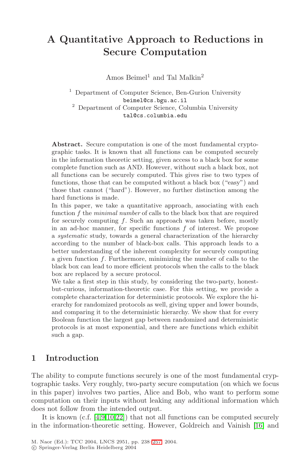# **A Quantitative Approach to Reductions in Secure Computation**

Amos Beimel<sup>1</sup> and Tal Malkin<sup>2</sup>

<sup>1</sup> Department of Computer Science, Ben-Gurion University beimel@cs.bgu.ac.il<br><sup>2</sup> Department of Computer Science, Columbia University tal@cs.columbia.edu

**Abstract.** Secure computation is one of the most fundamental cryptographic tasks. It is known that all functions can be computed securely in the information theoretic setting, given access to a black box for some complete function such as AND. However, without such a black box, not all functions can be securely computed. This gives rise to two types of functions, those that can be computed without a black box ("easy") and those that cannot ("hard"). However, no further distinction among the hard functions is made.

In this paper, we take a quantitative approach, associating with each function f the minimal number of calls to the black box that are required for securely computing f. Such an approach was taken before, mostly in an ad-hoc manner, for specific functions  $f$  of interest. We propose a systematic study, towards a general characterization of the hierarchy according to the number of black-box calls. This approach leads to a better understanding of the inherent complexity for securely computing a given function f. Furthermore, minimizing the number of calls to the black box can lead to more efficient protocols when the calls to the black box are replaced by a secure protocol.

We take a first step in this study, by considering the two-party, honestbut-curious, information-theoretic case. For this setting, we provide a complete characterization for deterministic protocols. We explore the hierarchy for randomized protocols as well, giving upper and lower bounds, and comparing it to the deterministic hierarchy. We show that for every Boolean function the largest gap between randomized and deterministic protocols is at most exponential, and there are functions which exhibit such a gap.

### **1 Introduction**

The ability to compute functions securely is one of the most fundamental cryptographic tasks. Very roughly, two-party secure computation (on which we focus in this paper) involves two parties, Alice and Bob, who want to perform some computation on their inputs without leaking any additional information which does not follow from the intended output.

It is known (c.f. [\[4,9,10](#page-18-0)[,22\]](#page-19-0)) that not all functions can be computed securely in the information-theoretic setting. However, Goldreich and Vainish [\[16\]](#page-18-0) and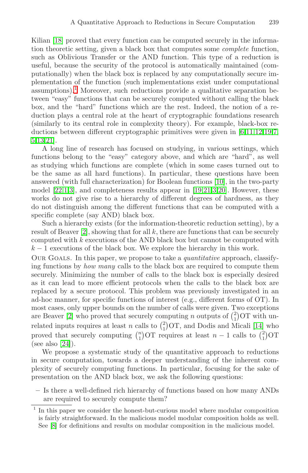Kilian [\[18\]](#page-18-0) proved that every function can be computed securely in the information theoretic setting, given a black box that computes some *complete* function, such as Oblivious Transfer or the AND function. This type of a reduction is useful, because the security of the protocol is automatically maintained (computationally) when the black box is replaced by any computationally secure implementation of the function (such implementations exist under computational  $assumptions$ ).<sup>1</sup> Moreover, such reductions provide a qualitative separation between "easy" functions that can be securely computed without calling the black box, and the "hard" functions which are the rest. Indeed, the notion of a reduction plays a central role at the heart of cryptographic foundations research (similarly to its central role in complexity theory). For example, black-box reductions between different cryptographic primitives were given in [\[6,11,12,19,7,](#page-18-0) [5,13](#page-18-0)[,21\]](#page-19-0).

A long line of research has focused on studying, in various settings, which functions belong to the "easy" category above, and which are "hard", as well as studying which functions are complete (which in some cases turned out to be the same as all hard functions). In particular, these questions have been answered (with full characterization) for Boolean functions [\[10\]](#page-18-0), in the two-party model  $[22,1,3]$  $[22,1,3]$ , and completeness results appear in  $[19,21,3,20]$  $[19,21,3,20]$  $[19,21,3,20]$ . However, these works do not give rise to a hierarchy of different degrees of hardness, as they do not distinguish among the different functions that can be computed with a specific complete (say AND) black box.

Such a hierarchy exists (for the information-theoretic reduction setting), by a result of Beaver  $[2]$ , showing that for all k, there are functions that can be securely computed with  $k$  executions of the AND black box but cannot be computed with  $k-1$  executions of the black box. We explore the hierarchy in this work.

Our Goals. In this paper, we propose to take a *quantitative* approach, classifying functions by *how many* calls to the black box are required to compute them securely. Minimizing the number of calls to the black box is especially desired as it can lead to more efficient protocols when the calls to the black box are replaced by a secure protocol. This problem was previously investigated in an ad-hoc manner, for specific functions of interest (e.g., different forms of OT). In most cases, only upper bounds on the number of calls were given. Two exceptions are Beaver [\[2\]](#page-18-0) who proved that securely computing n outputs of  $\binom{2}{1}$ OT with unrelated inputs requires at least n calls to  $\binom{2}{1}$ OT, and Dodis and Micali [\[14\]](#page-18-0) who proved that securely computing  $\binom{n}{1}$ OT requires at least  $n-1$  calls to  $\binom{2}{1}$ OT (see also [\[24\]](#page-19-0)).

We propose a systematic study of the quantitative approach to reductions in secure computation, towards a deeper understanding of the inherent complexity of securely computing functions. In particular, focusing for the sake of presentation on the AND black box, we ask the following questions:

**<sup>–</sup>** Is there a well-defined rich hierarchy of functions based on how many ANDs are required to securely compute them?

<sup>&</sup>lt;sup>1</sup> In this paper we consider the honest-but-curious model where modular composition is fairly straightforward. In the malicious model modular composition holds as well. See [\[8\]](#page-18-0) for definitions and results on modular composition in the malicious model.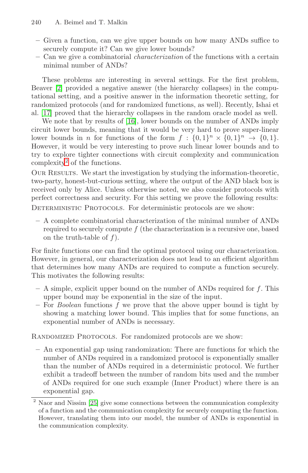- **–** Given a function, can we give upper bounds on how many ANDs suffice to securely compute it? Can we give lower bounds?
- **–** Can we give a combinatorial *characterization* of the functions with a certain minimal number of ANDs?

These problems are interesting in several settings. For the first problem, Beaver [\[2\]](#page-18-0) provided a negative answer (the hierarchy collapses) in the computational setting, and a positive answer in the information theoretic setting, for randomized protocols (and for randomized functions, as well). Recently, Ishai et al. [\[17\]](#page-18-0) proved that the hierarchy collapses in the random oracle model as well.

We note that by results of [\[16\]](#page-18-0), lower bounds on the number of ANDs imply circuit lower bounds, meaning that it would be very hard to prove super-linear lower bounds in *n* for functions of the form  $f : \{0,1\}^n \times \{0,1\}^n \rightarrow \{0,1\}.$ However, it would be very interesting to prove such linear lower bounds and to try to explore tighter connections with circuit complexity and communication complexity<sup>2</sup> of the functions.

Our Results. We start the investigation by studying the information-theoretic, two-party, honest-but-curious setting, where the output of the AND black box is received only by Alice. Unless otherwise noted, we also consider protocols with perfect correctness and security. For this setting we prove the following results: DETERMINISTIC PROTOCOLS. For deterministic protocols are we show:

**–** A complete combinatorial characterization of the minimal number of ANDs required to securely compute  $f$  (the characterization is a recursive one, based on the truth-table of  $f$ ).

For finite functions one can find the optimal protocol using our characterization. However, in general, our characterization does not lead to an efficient algorithm that determines how many ANDs are required to compute a function securely. This motivates the following results:

- **–** A simple, explicit upper bound on the number of ANDs required for f. This upper bound may be exponential in the size of the input.
- **–** For *Boolean* functions f we prove that the above upper bound is tight by showing a matching lower bound. This implies that for some functions, an exponential number of ANDs is necessary.

RANDOMIZED PROTOCOLS. For randomized protocols are we show:

**–** An exponential gap using randomization: There are functions for which the number of ANDs required in a randomized protocol is exponentially smaller than the number of ANDs required in a deterministic protocol. We further exhibit a tradeoff between the number of random bits used and the number of ANDs required for one such example (Inner Product) where there is an exponential gap.

 $^2$  Naor and Nissim [\[25\]](#page-19-0) give some connections between the communication complexity of a function and the communication complexity for securely computing the function. However, translating them into our model, the number of ANDs is exponential in the communication complexity.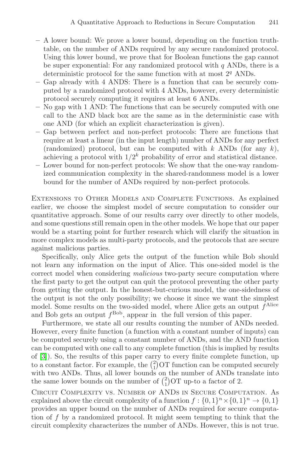- **–** A lower bound: We prove a lower bound, depending on the function truthtable, on the number of ANDs required by any secure randomized protocol. Using this lower bound, we prove that for Boolean functions the gap cannot be super exponential: For any randomized protocol with  $q$  ANDs, there is a deterministic protocol for the same function with at most  $2<sup>q</sup>$  ANDs.
- **–** Gap already with 4 ANDS: There is a function that can be securely computed by a randomized protocol with 4 ANDs, however, every deterministic protocol securely computing it requires at least 6 ANDs.
- **–** No gap with 1 AND: The functions that can be securely computed with one call to the AND black box are the same as in the deterministic case with one AND (for which an explicit characterization is given).
- **–** Gap between perfect and non-perfect protocols: There are functions that require at least a linear (in the input length) number of ANDs for any perfect (randomized) protocol, but can be computed with  $k$  ANDs (for any  $k$ ), achieving a protocol with  $1/2^k$  probability of error and statistical distance.
- **–** Lower bound for non-perfect protocols: We show that the one-way randomized communication complexity in the shared-randomness model is a lower bound for the number of ANDs required by non-perfect protocols.

Extensions to Other Models and Complete Functions. As explained earlier, we choose the simplest model of secure computation to consider our quantitative approach. Some of our results carry over directly to other models, and some questions still remain open in the other models. We hope that our paper would be a starting point for further research which will clarify the situation in more complex models as multi-party protocols, and the protocols that are secure against malicious parties.

Specifically, only Alice gets the output of the function while Bob should not learn any information on the input of Alice. This one-sided model is the correct model when considering *malicious* two-party secure computation where the first party to get the output can quit the protocol preventing the other party from getting the output. In the honest-but-curious model, the one-sidedness of the output is not the only possibility; we choose it since we want the simplest model. Some results on the two-sided model, where Alice gets an output  $f^{\text{Alice}}$ and Bob gets an output  $f<sup>Bob</sup>$ , appear in the full version of this paper.

Furthermore, we state all our results counting the number of ANDs needed. However, every finite function (a function with a constant number of inputs) can be computed securely using a constant number of ANDs, and the AND function can be computed with one call to any complete function (this is implied by results of [\[3\]](#page-18-0)). So, the results of this paper carry to every finite complete function, up to a constant factor. For example, the  $\binom{2}{1}$ OT function can be computed securely with two ANDs. Thus, all lower bounds on the number of ANDs translate into the same lower bounds on the number of  $\binom{2}{1}$ OT up-to a factor of 2.

Circuit Complexity vs. Number of ANDs in Secure Computation. As explained above the circuit complexity of a function  $f: \{0,1\}^n \times \{0,1\}^n \rightarrow \{0,1\}$ provides an upper bound on the number of ANDs required for secure computation of f by a randomized protocol. It might seem tempting to think that the circuit complexity characterizes the number of ANDs. However, this is not true.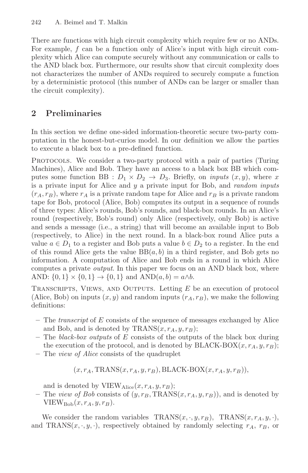There are functions with high circuit complexity which require few or no ANDs. For example, f can be a function only of Alice's input with high circuit complexity which Alice can compute securely without any communication or calls to the AND black box. Furthermore, our results show that circuit complexity does not characterizes the number of ANDs required to securely compute a function by a deterministic protocol (this number of ANDs can be larger or smaller than the circuit complexity).

# **2 Preliminaries**

In this section we define one-sided information-theoretic secure two-party computation in the honest-but-curios model. In our definition we allow the parties to execute a black box to a pre-defined function.

PROTOCOLS. We consider a two-party protocol with a pair of parties (Turing Machines), Alice and Bob. They have an access to a black box BB which computes some function BB :  $D_1 \times D_2 \rightarrow D_3$ . Briefly, on *inputs*  $(x, y)$ , where x is a private input for Alice and y a private input for Bob, and *random inputs*  $(r_A, r_B)$ , where  $r_A$  is a private random tape for Alice and  $r_B$  is a private random tape for Bob, protocol (Alice, Bob) computes its output in a sequence of rounds of three types: Alice's rounds, Bob's rounds, and black-box rounds. In an Alice's round (respectively, Bob's round) only Alice (respectively, only Bob) is active and sends a message (i.e., a string) that will become an available input to Bob (respectively, to Alice) in the next round. In a black-box round Alice puts a value  $a \in D_1$  to a register and Bob puts a value  $b \in D_2$  to a register. In the end of this round Alice gets the value  $BB(a, b)$  in a third register, and Bob gets no information. A computation of Alice and Bob ends in a round in which Alice computes a private *output*. In this paper we focus on an AND black box, where AND:  $\{0, 1\} \times \{0, 1\} \rightarrow \{0, 1\}$  and  $AND(a, b) = a \wedge b$ .

TRANSCRIPTS, VIEWS, AND OUTPUTS. Letting  $E$  be an execution of protocol (Alice, Bob) on inputs  $(x, y)$  and random inputs  $(r_A, r_B)$ , we make the following definitions:

- **–** The *transcript* of E consists of the sequence of messages exchanged by Alice and Bob, and is denoted by  $\text{TRANS}(x, r_A, y, r_B);$
- **–** The *black-box outputs* of E consists of the outputs of the black box during the execution of the protocol, and is denoted by  $\text{BLACK-BOX}(x, r_A, y, r_B);$
- **–** The *view of Alice* consists of the quadruplet

$$
(x, r_A, \text{TRANS}(x, r_A, y, r_B), \text{BLACK-BOX}(x, r_A, y, r_B)),
$$

and is denoted by VIEW<sub>Alice</sub> $(x, r_A, y, r_B);$ 

– The *view of Bob* consists of  $(y, r_B, \text{TRANS}(x, r_A, y, r_B))$ , and is denoted by VIEW<sub>Bob</sub> $(x, r_A, y, r_B)$ .

We consider the random variables  $\text{TRANS}(x, \cdot, y, r_B)$ ,  $\text{TRANS}(x, r_A, y, \cdot)$ , and TRANS $(x, \cdot, y, \cdot)$ , respectively obtained by randomly selecting  $r_A$ ,  $r_B$ , or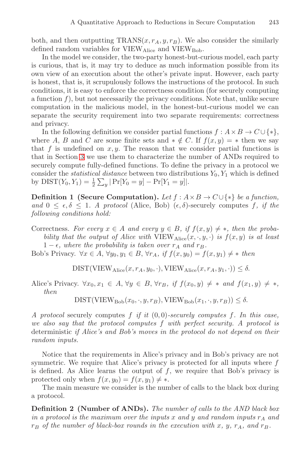both, and then outputting  $\text{TRANS}(x, r_A, y, r_B)$ . We also consider the similarly defined random variables for  $VIEW_{Alice}$  and  $VIEW_{Bob}$ .

In the model we consider, the two-party honest-but-curious model, each party is curious, that is, it may try to deduce as much information possible from its own view of an execution about the other's private input. However, each party is honest, that is, it scrupulously follows the instructions of the protocol. In such conditions, it is easy to enforce the correctness condition (for securely computing a function  $f$ ), but not necessarily the privacy conditions. Note that, unlike secure computation in the malicious model, in the honest-but-curious model we can separate the security requirement into two separate requirements: correctness and privacy.

In the following definition we consider partial functions  $f : A \times B \to C \cup \{*\},$ where A, B and C are some finite sets and  $* \notin C$ . If  $f(x, y) = *$  then we say that f is undefined on  $x, y$ . The reason that we consider partial functions is that in Section [3](#page-7-0) we use them to characterize the number of ANDs required to securely compute fully-defined functions. To define the privacy in a protocol we consider the *statistical distance* between two distributions  $Y_0, Y_1$  which is defined by  $DIST(Y_0, Y_1) = \frac{1}{2} \sum_y |Pr[Y_0 = y] - Pr[Y_1 = y]|.$ 

**Definition 1 (Secure Computation).** *Let*  $f : A \times B \to C \cup \{*\}$  *be a function,* and  $0 \leq \epsilon, \delta \leq 1$ . A protocol (Alice, Bob)  $(\epsilon, \delta)$ -securely computes f, if the *following conditions hold:*

Correctness. For every  $x \in A$  and every  $y \in B$ , if  $f(x, y) \neq *$ , then the proba*bility that the output of Alice with* VIEW<sub>Alice</sub> $(x, \cdot, y, \cdot)$  *is*  $f(x, y)$  *is at least*  $1 - \epsilon$ , where the probability is taken over  $r_A$  and  $r_B$ .

Bob's Privacy.  $\forall x \in A, \forall y_0, y_1 \in B, \forall r_A, \text{ if } f(x, y_0) = f(x, y_1) \neq * \text{ then}$ 

 $\text{DIST}(\text{VIEW}_{\text{Alice}}(x, r_A, y_0, \cdot), \text{VIEW}_{\text{Alice}}(x, r_A, y_1, \cdot)) < \delta.$ 

Alice's Privacy.  $\forall x_0, x_1 \in A, \forall y \in B, \forall r_B, \text{ if } f(x_0, y) \neq * \text{ and } f(x_1, y) \neq *$ *then*

 $\text{DIST}(\text{VIEW}_{Bob}(x_0, \cdot, y, r_B), \text{VIEW}_{Bob}(x_1, \cdot, y, r_B)) \leq \delta.$ 

*A protocol* securely computes f *if it* (0, 0)*-securely computes* f*. In this case, we also say that the protocol computes* f *with perfect security. A protocol is* deterministic *if Alice's and Bob's moves in the protocol do not depend on their random inputs.*

Notice that the requirements in Alice's privacy and in Bob's privacy are not symmetric. We require that Alice's privacy is protected for all inputs where  $f$ is defined. As Alice learns the output of  $f$ , we require that Bob's privacy is protected only when  $f(x, y_0) = f(x, y_1) \neq *$ .

The main measure we consider is the number of calls to the black box during a protocol.

**Definition 2 (Number of ANDs).** *The number of calls to the AND black box in a protocol is the maximum over the inputs* x and y and random inputs  $r_A$  and  $r_B$  *of the number of black-box rounds in the execution with* x, y,  $r_A$ , and  $r_B$ .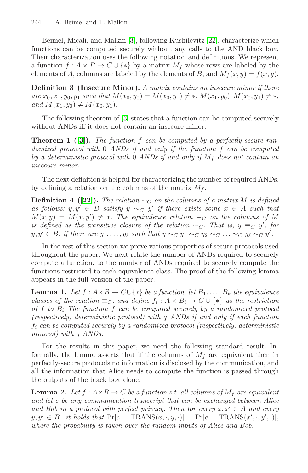<span id="page-6-0"></span>Beimel, Micali, and Malkin [\[3\]](#page-18-0), following Kushilevitz [\[22\]](#page-19-0), characterize which functions can be computed securely without any calls to the AND black box. Their characterization uses the following notation and definitions. We represent a function  $f: A \times B \to C \cup \{*\}$  by a matrix  $M_f$  whose rows are labeled by the elements of A, columns are labeled by the elements of B, and  $M_f(x, y) = f(x, y)$ .

**Definition 3 (Insecure Minor).** *A matrix contains an insecure minor if there are*  $x_0, x_1, y_0, y_1$  *such that*  $M(x_0, y_0) = M(x_0, y_1) \neq *, M(x_1, y_0), M(x_0, y_1) \neq *,$ *and*  $M(x_1, y_0) \neq M(x_0, y_1)$ *.* 

The following theorem of [\[3\]](#page-18-0) states that a function can be computed securely without ANDs iff it does not contain an insecure minor.

**Theorem 1 ([\[3\]](#page-18-0)).** *The function* f *can be computed by a perfectly-secure randomized protocol with* 0 *ANDs if and only if the function* f *can be computed by a deterministic protocol with* 0 *ANDs if and only if* M<sup>f</sup> *does not contain an insecure-minor.*

The next definition is helpful for characterizing the number of required ANDs, by defining a relation on the columns of the matrix  $M_f$ .

**Definition 4 ([\[22\]](#page-19-0)).** *The relation*  $\sim_C$  *on the columns of a matrix* M *is defined as follows:*  $y, y' \in B$  *satisfy*  $y \sim_C y'$  *if there exists some*  $x \in A$  *such that*  $M(x,y) = M(x,y') \neq *$ . The equivalence relation  $\equiv_C$  on the columns of M *is defined as the transitive closure of the relation*  $\sim_C$ *. That is,*  $y \equiv_C y'$ *, for*  $y, y' \in B$ , if there are  $y_1, \ldots, y_\ell$  such that  $y \sim_C y_1 \sim_C y_2 \sim_C \ldots \sim_C y_\ell \sim_C y'.$ 

In the rest of this section we prove various properties of secure protocols used throughout the paper. We next relate the number of ANDs required to securely compute a function, to the number of ANDs required to securely compute the functions restricted to each equivalence class. The proof of the following lemma appears in the full version of the paper.

**Lemma 1.** Let  $f : A \times B \to C \cup \{*\}$  be a function, let  $B_1, \ldots, B_k$  the equivalence *classes of the relation*  $\equiv_C$ *, and define*  $f_i : A \times B_i \to C \cup \{*\}$  *as the restriction of* f *to* B<sup>i</sup> *The function* f *can be computed securely by a randomized protocol (respectively, deterministic protocol) with* q *ANDs if and only if each function* f<sup>i</sup> *can be computed securely by a randomized protocol (respectively, deterministic protocol) with* q *ANDs.*

For the results in this paper, we need the following standard result. Informally, the lemma asserts that if the columns of  $M_f$  are equivalent then in perfectly-secure protocols no information is disclosed by the communication, and all the information that Alice needs to compute the function is passed through the outputs of the black box alone.

**Lemma 2.** Let  $f : A \times B \to C$  be a function s.t. all columns of  $M_f$  are equivalent *and let* c *be any communication transcript that can be exchanged between Alice* and Bob in a protocol with perfect privacy. Then for every  $x, x' \in A$  and every  $y, y' \in B$  *it holds that*  $Pr[c = TRANS(x, \cdot, y, \cdot)] = Pr[c = TRANS(x', \cdot, y', \cdot)],$ *where the probability is taken over the random inputs of Alice and Bob.*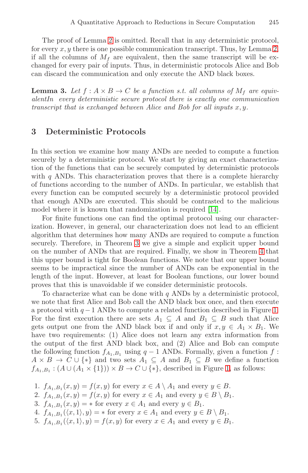<span id="page-7-0"></span>The proof of Lemma [2](#page-6-0) is omitted. Recall that in any deterministic protocol, for every  $x, y$  there is one possible communication transcript. Thus, by Lemma [2,](#page-6-0) if all the columns of  $M_f$  are equivalent, then the same transcript will be exchanged for every pair of inputs. Thus, in deterministic protocols Alice and Bob can discard the communication and only execute the AND black boxes.

**Lemma 3.** Let  $f : A \times B \to C$  be a function s.t. all columns of  $M_f$  are equiv*alentIn every deterministic secure protocol there is exactly one communication transcript that is exchanged between Alice and Bob for all inputs* x, y*.*

### **3 Deterministic Protocols**

In this section we examine how many ANDs are needed to compute a function securely by a deterministic protocol. We start by giving an exact characterization of the functions that can be securely computed by deterministic protocols with  $q$  ANDs. This characterization proves that there is a complete hierarchy of functions according to the number of ANDs. In particular, we establish that every function can be computed securely by a deterministic protocol provided that enough ANDs are executed. This should be contrasted to the malicious model where it is known that randomization is required [\[14\]](#page-18-0).

For finite functions one can find the optimal protocol using our characterization. However, in general, our characterization does not lead to an efficient algorithm that determines how many ANDs are required to compute a function securely. Therefore, in Theorem [3](#page-9-0) we give a simple and explicit upper bound on the number of ANDs that are required. Finally, we show in Theorem [4](#page-9-0) that this upper bound is tight for Boolean functions. We note that our upper bound seems to be impractical since the number of ANDs can be exponential in the length of the input. However, at least for Boolean functions, our lower bound proves that this is unavoidable if we consider deterministic protocols.

To characterize what can be done with  $q$  ANDs by a deterministic protocol, we note that first Alice and Bob call the AND black box once, and then execute a protocol with  $q - 1$  ANDs to compute a related function described in Figure [1.](#page-8-0) For the first execution there are sets  $A_1 \subseteq A$  and  $B_1 \subseteq B$  such that Alice gets output one from the AND black box if and only if  $x, y \in A_1 \times B_1$ . We have two requirements: (1) Alice does not learn any extra information from the output of the first AND black box, and (2) Alice and Bob can compute the following function  $f_{A_1,B_1}$  using  $q-1$  ANDs. Formally, given a function f:  $A \times B \to C \cup \{*\}$  and two sets  $A_1 \subseteq A$  and  $B_1 \subseteq B$  we define a function  $f_{A_1,B_1}: (A\cup (A_1\times\{1\}))\times B\to C\cup\{*\},$  described in Figure [1,](#page-8-0) as follows:

- 1.  $f_{A_1,B_1}(x,y) = f(x,y)$  for every  $x \in A \setminus A_1$  and every  $y \in B$ .
- 2.  $f_{A_1,B_1}(x,y) = f(x,y)$  for every  $x \in A_1$  and every  $y \in B \setminus B_1$ .
- 3.  $f_{A_1,B_1}(x,y) = *$  for every  $x \in A_1$  and every  $y \in B_1$ .
- 4.  $f_{A_1,B_1}(\langle x,1\rangle,y)=*$  for every  $x\in A_1$  and every  $y\in B\setminus B_1$ .
- 5.  $f_{A_1,B_1}(\langle x,1\rangle,y) = f(x,y)$  for every  $x \in A_1$  and every  $y \in B_1$ .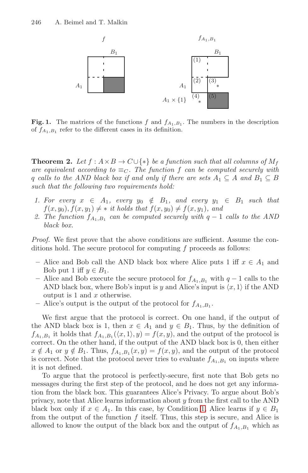<span id="page-8-0"></span>

**Fig. 1.** The matrices of the functions f and  $f_{A_1,B_1}$ . The numbers in the description of  $f_{A_1,B_1}$  refer to the different cases in its definition.

**Theorem 2.** *Let*  $f : A \times B \to C \cup \{*\}$  *be a function such that all columns of*  $M_f$ *are equivalent according to*  $\equiv_C$ *. The function* f *can be computed securely with* q calls to the AND black box if and only if there are sets  $A_1 \subseteq A$  and  $B_1 \subseteq B$ *such that the following two requirements hold:*

- *1. For every*  $x \in A_1$ *, every*  $y_0 \notin B_1$ *, and every*  $y_1 \in B_1$  *such that*  $f(x, y_0), f(x, y_1) \neq *$  *it holds that*  $f(x, y_0) \neq f(x, y_1)$ *, and*
- 2. The function  $f_{A_1,B_1}$  *can be computed securely with*  $q-1$  *calls to the AND black box.*

*Proof.* We first prove that the above conditions are sufficient. Assume the conditions hold. The secure protocol for computing  $f$  proceeds as follows:

- Alice and Bob call the AND black box where Alice puts 1 iff  $x \in A_1$  and Bob put 1 iff  $y \in B_1$ .
- Alice and Bob execute the secure protocol for  $f_{A_1,B_1}$  with  $q-1$  calls to the AND black box, where Bob's input is y and Alice's input is  $\langle x, 1 \rangle$  if the AND output is 1 and  $x$  otherwise.
- Alice's output is the output of the protocol for  $f_{A_1,B_1}$ .

We first argue that the protocol is correct. On one hand, if the output of the AND black box is 1, then  $x \in A_1$  and  $y \in B_1$ . Thus, by the definition of  $f_{A_1,B_1}$  it holds that  $f_{A_1,B_1}(\langle x,1\rangle,y)=f(x,y)$ , and the output of the protocol is correct. On the other hand, if the output of the AND black box is 0, then either  $x \notin A_1$  or  $y \notin B_1$ . Thus,  $f_{A_1,B_1}(x,y) = f(x,y)$ , and the output of the protocol is correct. Note that the protocol never tries to evaluate  $f_{A_1,B_1}$  on inputs where it is not defined.

To argue that the protocol is perfectly-secure, first note that Bob gets no messages during the first step of the protocol, and he does not get any information from the black box. This guarantees Alice's Privacy. To argue about Bob's privacy, note that Alice learns information about y from the first call to the AND black box only if  $x \in A_1$ . In this case, by Condition 1, Alice learns if  $y \in B_1$ from the output of the function  $f$  itself. Thus, this step is secure, and Alice is allowed to know the output of the black box and the output of  $f_{A_1,B_1}$  which as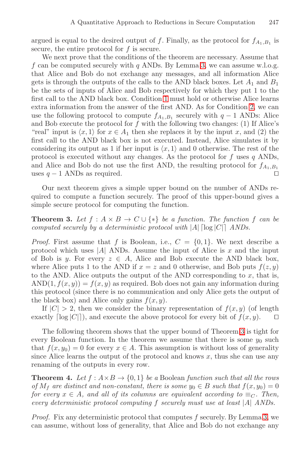<span id="page-9-0"></span>argued is equal to the desired output of f. Finally, as the protocol for  $f_{A_1,B_1}$  is secure, the entire protocol for  $f$  is secure.

We next prove that the conditions of the theorem are necessary. Assume that f can be computed securely with  $q$  ANDs. By Lemma [3,](#page-7-0) we can assume w.l.o.g. that Alice and Bob do not exchange any messages, and all information Alice gets is through the outputs of the calls to the AND black boxes. Let  $A_1$  and  $B_1$ be the sets of inputs of Alice and Bob respectively for which they put 1 to the first call to the AND black box. Condition [1](#page-8-0) must hold or otherwise Alice learns extra information from the answer of the first AND. As for Condition [2,](#page-8-0) we can use the following protocol to compute  $f_{A_1,B_1}$  securely with  $q-1$  ANDs: Alice and Bob execute the protocol for  $f$  with the following two changes: (1) If Alice's "real" input is  $\langle x, 1 \rangle$  for  $x \in A_1$  then she replaces it by the input x, and (2) the first call to the AND black box is not executed. Instead, Alice simulates it by considering its output as 1 if her input is  $\langle x, 1 \rangle$  and 0 otherwise. The rest of the protocol is executed without any changes. As the protocol for  $f$  uses  $q$  ANDs, and Alice and Bob do not use the first AND, the resulting protocol for  $f_{A_1,B_1}$ uses  $q - 1$  ANDs as required.

Our next theorem gives a simple upper bound on the number of ANDs required to compute a function securely. The proof of this upper-bound gives a simple secure protocol for computing the function.

**Theorem 3.** Let  $f : A \times B \to C \cup \{*\}$  be a function. The function f can be *computed securely by a deterministic protocol with*  $|A| \log |C|$  *ANDs.* 

*Proof.* First assume that f is Boolean, i.e.,  $C = \{0, 1\}$ . We next describe a protocol which uses  $|A|$  ANDs. Assume the input of Alice is x and the input of Bob is y. For every  $z \in A$ , Alice and Bob execute the AND black box, where Alice puts 1 to the AND if  $x = z$  and 0 otherwise, and Bob puts  $f(z, y)$ to the AND. Alice outputs the output of the AND corresponding to  $x$ , that is, AND(1,  $f(x, y) = f(x, y)$  as required. Bob does not gain any information during this protocol (since there is no communication and only Alice gets the output of the black box) and Alice only gains  $f(x, y)$ .

If  $|C| > 2$ , then we consider the binary representation of  $f(x, y)$  (of length exactly  $\lceil \log |C| \rceil$ , and execute the above protocol for every bit of  $f(x, y)$ .  $\Box$ 

The following theorem shows that the upper bound of Theorem 3 is tight for every Boolean function. In the theorem we assume that there is some  $y_0$  such that  $f(x, y_0) = 0$  for every  $x \in A$ . This assumption is without loss of generality since Alice learns the output of the protocol and knows  $x$ , thus she can use any renaming of the outputs in every row.

**Theorem 4.** Let  $f : A \times B \rightarrow \{0, 1\}$  be a Boolean function such that all the rows *of*  $M_f$  *are distinct and non-constant, there is some*  $y_0 \in B$  *such that*  $f(x, y_0) = 0$ *for every*  $x \in A$ *, and all of its columns are equivalent according to*  $\equiv_C$ *. Then, every deterministic protocol computing* f *securely must use at least* |A| *ANDs.*

*Proof.* Fix any deterministic protocol that computes f securely. By Lemma [3,](#page-7-0) we can assume, without loss of generality, that Alice and Bob do not exchange any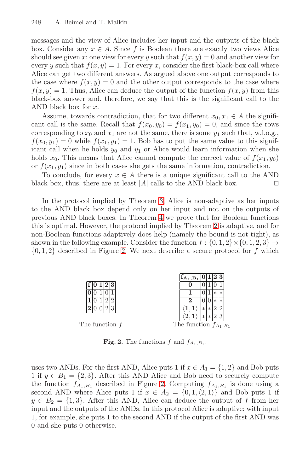messages and the view of Alice includes her input and the outputs of the black box. Consider any  $x \in A$ . Since f is Boolean there are exactly two views Alice should see given x: one view for every y such that  $f(x, y) = 0$  and another view for every y such that  $f(x, y) = 1$ . For every x, consider the first black-box call where Alice can get two different answers. As argued above one output corresponds to the case where  $f(x, y) = 0$  and the other output corresponds to the case where  $f(x, y) = 1$ . Thus, Alice can deduce the output of the function  $f(x, y)$  from this black-box answer and, therefore, we say that this is the significant call to the AND black box for x.

Assume, towards contradiction, that for two different  $x_0, x_1 \in A$  the significant call is the same. Recall that  $f(x_0, y_0) = f(x_1, y_0) = 0$ , and since the rows corresponding to  $x_0$  and  $x_1$  are not the same, there is some  $y_1$  such that, w.l.o.g.,  $f(x_0, y_1) = 0$  while  $f(x_1, y_1) = 1$ . Bob has to put the same value to this significant call when he holds  $y_0$  and  $y_1$  or Alice would learn information when she holds  $x_0$ . This means that Alice cannot compute the correct value of  $f(x_1, y_0)$ or  $f(x_1, y_1)$  since in both cases she gets the same information, contradiction.

To conclude, for every  $x \in A$  there is a unique significant call to the AND black box, thus, there are at least  $|A|$  calls to the AND black box.  $\square$ 

In the protocol implied by Theorem [3,](#page-9-0) Alice is non-adaptive as her inputs to the AND black box depend only on her input and not on the outputs of previous AND black boxes. In Theorem [4](#page-9-0) we prove that for Boolean functions this is optimal. However, the protocol implied by Theorem [2](#page-7-0) is adaptive, and for non-Boolean functions adaptively does help (namely the bound is not tight), as shown in the following example. Consider the function  $f : \{0, 1, 2\} \times \{0, 1, 2, 3\} \rightarrow$  $\{0, 1, 2\}$  described in Figure 2. We next describe a secure protocol for f which



**Fig. 2.** The functions f and  $f_{A_1,B_1}$ .

uses two ANDs. For the first AND, Alice puts 1 if  $x \in A_1 = \{1, 2\}$  and Bob puts 1 if  $y \in B_1 = \{2, 3\}$ . After this AND Alice and Bob need to securely compute the function  $f_{A_1,B_1}$  described in Figure 2. Computing  $f_{A_1,B_1}$  is done using a second AND where Alice puts 1 if  $x \in A_2 = \{0, 1, \langle 2, 1 \rangle\}$  and Bob puts 1 if  $y \in B_2 = \{1,3\}$ . After this AND, Alice can deduce the output of f from her input and the outputs of the ANDs. In this protocol Alice is adaptive; with input 1, for example, she puts 1 to the second AND if the output of the first AND was 0 and she puts 0 otherwise.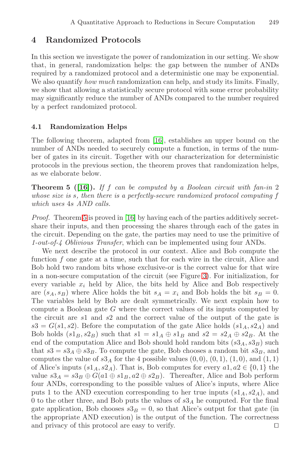### <span id="page-11-0"></span>**4 Randomized Protocols**

In this section we investigate the power of randomization in our setting. We show that, in general, randomization helps: the gap between the number of ANDs required by a randomized protocol and a deterministic one may be exponential. We also quantify *how much* randomization can help, and study its limits. Finally, we show that allowing a statistically secure protocol with some error probability may significantly reduce the number of ANDs compared to the number required by a perfect randomized protocol.

### **4.1 Randomization Helps**

The following theorem, adapted from [\[16\]](#page-18-0), establishes an upper bound on the number of ANDs needed to securely compute a function, in terms of the number of gates in its circuit. Together with our characterization for deterministic protocols in the previous section, the theorem proves that randomization helps, as we elaborate below.

**Theorem 5 ([\[16\]](#page-18-0)).** *If* f *can be computed by a Boolean circuit with fan-in* 2 *whose size is* s*, then there is a perfectly-secure randomized protocol computing* f *which uses* 4s *AND calls.*

*Proof.* Theorem 5 is proved in [\[16\]](#page-18-0) by having each of the parties additively secretshare their inputs, and then processing the shares through each of the gates in the circuit. Depending on the gate, the parties may need to use the primitive of *1-out-of-4 Oblivious Transfer*, which can be implemented using four ANDs.

We next describe the protocol in our context. Alice and Bob compute the function f one gate at a time, such that for each wire in the circuit, Alice and Bob hold two random bits whose exclusive-or is the correct value for that wire in a non-secure computation of the circuit (see Figure [3\)](#page-12-0). For initialization, for every variable  $x_i$  held by Alice, the bits held by Alice and Bob respectively are  $(s_A, s_B)$  where Alice holds the bit  $s_A = x_i$  and Bob holds the bit  $s_B = 0$ . The variables held by Bob are dealt symmetrically. We next explain how to compute a Boolean gate G where the correct values of its inputs computed by the circuit are s1 and s2 and the correct value of the output of the gate is  $s3 = G(s1, s2)$ . Before the computation of the gate Alice holds  $(s1<sub>A</sub>, s2<sub>A</sub>)$  and Bob holds  $(s1_B, s2_B)$  such that  $s1 = s1_A \oplus s1_B$  and  $s2 = s2_A \oplus s2_B$ . At the end of the computation Alice and Bob should hold random bits  $(s3<sub>A</sub>, s3<sub>B</sub>)$  such that  $s3 = s3_A \oplus s3_B$ . To compute the gate, Bob chooses a random bit  $s3_B$ , and computes the value of  $s3_A$  for the 4 possible values  $(0, 0), (0, 1), (1, 0),$  and  $(1, 1)$ of Alice's inputs  $(s1_A, s2_A)$ . That is, Bob computes for every  $a1, a2 \in \{0, 1\}$  the value  $s3_A = s3_B \oplus G(a1 \oplus s1_B, a2 \oplus s2_B)$ . Thereafter, Alice and Bob perform four ANDs, corresponding to the possible values of Alice's inputs, where Alice puts 1 to the AND execution corresponding to her true inputs  $(s1<sub>A</sub>, s2<sub>A</sub>)$ , and 0 to the other three, and Bob puts the values of  $s3_A$  he computed. For the final gate application, Bob chooses  $s3_B = 0$ , so that Alice's output for that gate (in the appropriate AND execution) is the output of the function. The correctness and privacy of this protocol are easy to verify.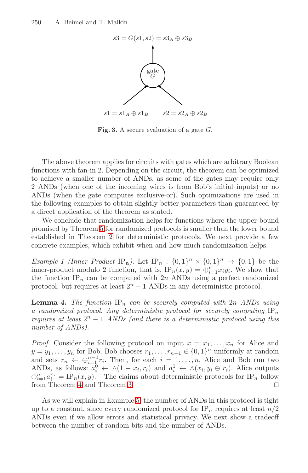<span id="page-12-0"></span>

**Fig. 3.** A secure evaluation of a gate G.

The above theorem applies for circuits with gates which are arbitrary Boolean functions with fan-in 2. Depending on the circuit, the theorem can be optimized to achieve a smaller number of ANDs, as some of the gates may require only 2 ANDs (when one of the incoming wires is from Bob's initial inputs) or no ANDs (when the gate computes exclusive-or). Such optimizations are used in the following examples to obtain slightly better parameters than guaranteed by a direct application of the theorem as stated.

We conclude that randomization helps for functions where the upper bound promised by Theorem [5](#page-11-0) for randomized protocols is smaller than the lower bound established in Theorem [2](#page-7-0) for deterministic protocols. We next provide a few concrete examples, which exhibit when and how much randomization helps.

*Example 1 (Inner Product* IP<sub>n</sub>). Let IP<sub>n</sub> :  $\{0,1\}^n \times \{0,1\}^n \rightarrow \{0,1\}$  be the inner-product modulo 2 function, that is,  $IP_n(x, y) = \bigoplus_{i=1}^n x_i y_i$ . We show that the function  $IP_n$  can be computed with 2n ANDs using a perfect randomized protocol, but requires at least  $2<sup>n</sup> - 1$  ANDs in any deterministic protocol.

**Lemma 4.** The function  $IP_n$  can be securely computed with  $2n$  *ANDs using a randomized protocol. Any deterministic protocol for securely computing*  $IP_n$ *requires at least*  $2^n - 1$  *ANDs (and there is a deterministic protocol using this number of ANDs).*

*Proof.* Consider the following protocol on input  $x = x_1, \ldots, x_n$  for Alice and  $y = y_1, \ldots, y_n$  for Bob. Bob chooses  $r_1, \ldots, r_{n-1} \in \{0, 1\}^n$  uniformly at random and sets  $r_n \leftarrow \bigoplus_{i=1}^{n-1} r_i$ . Then, for each  $i = 1, \ldots, n$ , Alice and Bob run two ANDs, as follows:  $a_i^0 \leftarrow \wedge (1 - x_i, r_i)$  and  $a_i^1 \leftarrow \wedge (x_i, y_i \oplus r_i)$ . Alice outputs  $\bigoplus_{i=1}^n a_i^{x_i} = \text{IP}_n(x, y)$ . The claims about deterministic protocols for  $\text{IP}_n$  follow from Theorem [4](#page-9-0) and Theorem [3.](#page-9-0)

As we will explain in Example [5,](#page-17-0) the number of ANDs in this protocol is tight up to a constant, since every randomized protocol for IP<sub>n</sub> requires at least  $n/2$ ANDs even if we allow errors and statistical privacy. We next show a tradeoff between the number of random bits and the number of ANDs.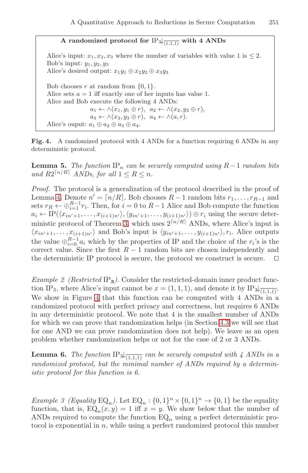# A randomized protocol for  $IP_3\downarrow$ <sub>(1,1,1)</sub> with 4 ANDs

Alice's input:  $x_1, x_2, x_3$  where the number of variables with value 1 is  $\leq 2$ . Bob's input:  $y_1, y_2, y_3$ Alice's desired output:  $x_1y_1 \oplus x_2y_2 \oplus x_3y_3$ Bob chooses r at random from  $\{0, 1\}.$ Alice sets  $a = 1$  iff exactly one of her inputs has value 1. Alice and Bob execute the following 4 ANDs:  $a_1 \leftarrow \wedge (x_1, y_1 \oplus r), \ \ a_2 \leftarrow \wedge (x_2, y_2 \oplus r),$  $a_3 \leftarrow \wedge (x_3, y_3 \oplus r), a_4 \leftarrow \wedge (a, r).$ Alice's ouput:  $a_1 \oplus a_2 \oplus a_3 \oplus a_4$ .

**Fig. 4.** A randomized protocol with 4 ANDs for a function requiring 6 ANDs in any deterministic protocol.

**Lemma 5.** *The function* IP<sub>n</sub> can be securely computed using  $R-1$  random bits *and*  $R2^{\lceil n/R \rceil}$  *ANDs, for all*  $1 \leq R \leq n$ *.* 

*Proof.* The protocol is a generalization of the protocol described in the proof of Lemma [4.](#page-12-0) Denote  $n' = \lceil n/R \rceil$ . Bob chooses  $R-1$  random bits  $r_1, \ldots, r_{R-1}$  and sets  $r_R \leftarrow \bigoplus_{i=1}^{R-1} r_i$ . Then, for  $i=0$  to  $R-1$  Alice and Bob compute the function  $a_i \leftarrow \text{IP}(\langle x_{in'+1}, \ldots, x_{(i+1)n'} \rangle, \langle y_{in'+1}, \ldots, y_{(i+1)n'} \rangle) \oplus r_i$  using the secure deter-ministic protocol of Theorem [3,](#page-9-0) which uses  $2^{n/R}$  ANDs, where Alice's input is  $\langle x_{in'+1},\ldots,x_{(i+1)n'}\rangle$  and Bob's input is  $\langle y_{in'+1},\ldots,y_{(i+1)n'}\rangle$ ,  $r_i$ . Alice outputs the value  $\bigoplus_{i=0}^{R-1} a_i$  which by the properties of IP and the choice of the  $r_i$ 's is the correct value. Since the first  $R-1$  random bits are chosen independently and the deterministic IP protocol is secure, the protocol we construct is secure.  $\square$ 

*Example 2 (Restricted* IP**3***).* Consider the restricted-domain inner product function IP<sub>3</sub>, where Alice's input cannot be  $x = (1, 1, 1)$ , and denote it by IP<sub>3</sub> $\downarrow$ <sub>(1,1,1)</sub>. We show in Figure 4 that this function can be computed with 4 ANDs in a randomized protocol with perfect privacy and correctness, but requires 6 ANDs in any deterministic protocol. We note that 4 is the smallest number of ANDs for which we can prove that randomization helps (in Section [4.3](#page-17-0) we will see that for one AND we can prove randomization does not help). We leave as an open problem whether randomization helps or not for the case of 2 or 3 ANDs.

**Lemma 6.** *The function*  $IP_3\downarrow_{\overline{(1,1,1)}}$  *can be securely computed with*  $\downarrow$  *ANDs in a randomized protocol, but the minimal number of ANDs required by a deterministic protocol for this function is 6.*

*Example 3 (Equality* EQ<sub>n</sub>). Let EQ<sub>n</sub> :  $\{0,1\}^n \times \{0,1\}^n \rightarrow \{0,1\}$  be the equality function, that is,  $EQ_n(x, y) = 1$  iff  $x = y$ . We show below that the number of ANDs required to compute the function  $EQ_n$  using a perfect deterministic protocol is exponential in  $n$ , while using a perfect randomized protocol this number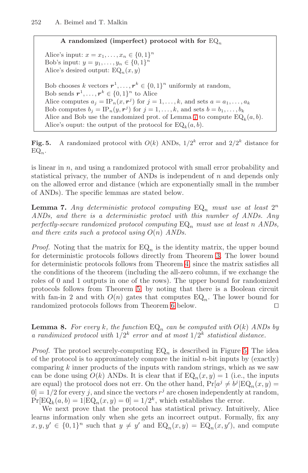#### A randomized (imperfect) protocol with for  $EQ_n$

Alice's input:  $x = x_1, ..., x_n \in \{0, 1\}^n$ Bob's input:  $y = y_1, ..., y_n \in \{0, 1\}^n$ Alice's desired output:  $EQ<sub>n</sub>(x, y)$ 

Bob chooses k vectors  $r^1, \ldots, r^k \in \{0, 1\}^n$  uniformly at random, Bob sends  $\mathbf{r}^1, \ldots, \mathbf{r}^k \in \{0,1\}^n$  to Alice Alice computes  $a_j = \text{IP}_n(x, r^j)$  for  $j = 1, \ldots, k$ , and sets  $a = a_1, \ldots, a_k$ Bob computes  $b_j = \text{IP}_n(y, r^j)$  for  $j = 1, \ldots, k$ , and sets  $b = b_1, \ldots, b_k$ Alice and Bob use the randomized prot. of Lemma 7 to compute  $EQ_k(a, b)$ . Alice's ouput: the output of the protocol for  $EQ_k(a, b)$ .

**Fig. 5.** A randomized protocol with  $O(k)$  ANDs,  $1/2^k$  error and  $2/2^k$  distance for  $EQ_n$ .

is linear in n, and using a randomized protocol with small error probability and statistical privacy, the number of ANDs is independent of  $n$  and depends only on the allowed error and distance (which are exponentially small in the number of ANDs). The specific lemmas are stated below.

**Lemma 7.** Any deterministic protocol computing  $EQ_n$  must use at least  $2^n$ *ANDs, and there is a deterministic protocl with this number of ANDs. Any*  $perfectly\text{-}secure\ randomized\ protocol\ computing\ EQ_n\ must\ use\ at\ least\ n\ ANDs,$ *and there exits such a protocol using* O(n) *ANDs.*

*Proof.* Noting that the matrix for  $EQ_n$  is the identity matrix, the upper bound for deterministic protocols follows directly from Theorem [3.](#page-9-0) The lower bound for deterministic protocols follows from Theorem [4,](#page-9-0) since the matrix satisfies all the conditions of the theorem (including the all-zero column, if we exchange the roles of 0 and 1 outputs in one of the rows). The upper bound for randomized protocols follows from Theorem [5,](#page-11-0) by noting that there is a Boolean circuit with fan-in 2 and with  $O(n)$  gates that computes  $EQ_n$ . The lower bound for randomized protocols follows from Theorem [6](#page-15-0) below.

**Lemma 8.** For every k, the function  $EQ_n$  can be computed with  $O(k)$  ANDs by *a randimized protocol with*  $1/2^k$  *error and at most*  $1/2^k$  *statistical distance.* 

*Proof.* The protocl securely-computing  $EQ_n$  is described in Figure 5. The idea of the protocol is to approximately compare the initial  $n$ -bit inputs by (exactly) comparing  $k$  inner products of the inputs with random strings, which as we saw can be done using  $O(k)$  ANDs. It is clear that if  $EQ_n(x, y) = 1$  (i.e., the inputs are equal) the protocol does not err. On the other hand,  $Pr[a^j \neq b^j]EQ_n(x, y) =$  $[0] = 1/2$  for every j, and since the vectors  $r<sup>j</sup>$  are chosen independently at random,  $Pr[EQ_k(a, b) = 1|EQ_n(x, y) = 0] = 1/2^k$ , which establishes the error.

We next prove that the protocol has statistical privacy. Intuitively, Alice learns information only when she gets an incorrect output. Formally, fix any  $x, y, y' \in \{0, 1\}^n$  such that  $y \neq y'$  and  $EQ_n(x, y) = EQ_n(x, y')$ , and compute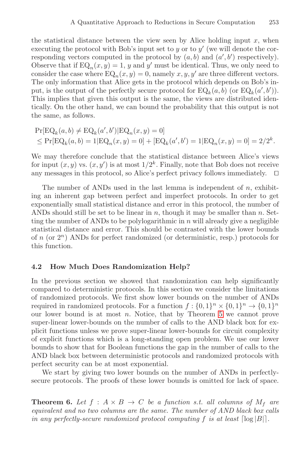<span id="page-15-0"></span>the statistical distance between the view seen by Alice holding input  $x$ , when executing the protocol with Bob's input set to  $y$  or to  $y'$  (we will denote the corresponding vectors computed in the protocol by  $(a, b)$  and  $(a', b')$  respectively). Observe that if  $EQ_n(x, y) = 1$ , y and y' must be identical. Thus, we only need to consider the case where  $EQ_n(x, y) = 0$ , namely  $x, y, y'$  are three different vectors. The only information that Alice gets in the protocol which depends on Bob's input, is the output of the perfectly secure protocol for  $EQ_k(a, b)$  (or  $EQ_k(a', b')$ ). This implies that given this output is the same, the views are distributed identically. On the other hand, we can bound the probability that this output is not the same, as follows.

$$
Pr[EQ_k(a, b) \neq EQ_k(a', b')]EQ_n(x, y) = 0]
$$
  
\n
$$
\leq Pr[EQ_k(a, b) = 1]EQ_n(x, y) = 0] + [EQ_k(a', b') = 1]EQ_n(x, y) = 0] = 2/2^{k}.
$$

We may therefore conclude that the statistical distance between Alice's views for input  $(x, y)$  vs.  $(x, y')$  is at most  $1/2^k$ . Finally, note that Bob does not receive any messages in this protocol, so Alice's perfect privacy follows immediately.  $\square$ 

The number of ANDs used in the last lemma is independent of  $n$ , exhibiting an inherent gap between perfect and imperfect protocols. In order to get exponentially small statistical distance and error in this protocol, the number of ANDs should still be set to be linear in n, though it may be smaller than n. Setting the number of ANDs to be polylogarithmic in  $n$  will already give a negligible statistical distance and error. This should be contrasted with the lower bounds of n (or  $2^n$ ) ANDs for perfect randomized (or deterministic, resp.) protocols for this function.

#### **4.2 How Much Does Randomization Help?**

In the previous section we showed that randomization can help significantly compared to deterministic protocols. In this section we consider the limitations of randomized protocols. We first show lower bounds on the number of ANDs required in randomized protocols. For a function  $f: \{0,1\}^n \times \{0,1\}^n \rightarrow \{0,1\}^n$ our lower bound is at most  $n$ . Notice, that by Theorem [5](#page-11-0) we cannot prove super-linear lower-bounds on the number of calls to the AND black box for explicit functions unless we prove super-linear lower-bounds for circuit complexity of explicit functions which is a long-standing open problem. We use our lower bounds to show that for Boolean functions the gap in the number of calls to the AND black box between deterministic protocols and randomized protocols with perfect security can be at most exponential.

We start by giving two lower bounds on the number of ANDs in perfectlysecure protocols. The proofs of these lower bounds is omitted for lack of space.

**Theorem 6.** Let  $f : A \times B \rightarrow C$  be a function s.t. all columns of  $M_f$  are *equivalent and no two columns are the same. The number of AND black box calls in any perfectly-secure randomized protocol computing* f *is at least*  $\lceil \log |B| \rceil$ .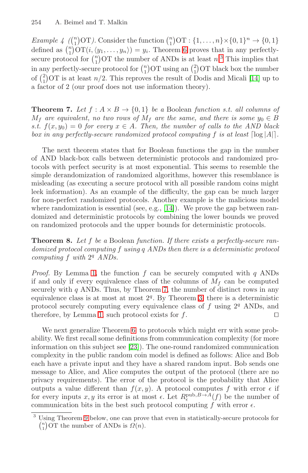<span id="page-16-0"></span>*Example 4* ( $\binom{n}{1}$ OT). Consider the function  $\binom{n}{1}$ OT :  $\{1, ..., n\} \times \{0, 1\}^n \to \{0, 1\}$ defined as  $\binom{n}{1}$ OT $(i, \langle y_1, \ldots, y_n \rangle) = y_i$ . Theorem [6](#page-15-0) proves that in any perfectlysecure protocol for  $\binom{n}{1}$ OT the number of ANDs is at least  $n^3$ . This implies that in any perfectly-secure protocol for  $\binom{n}{1}$ OT using an  $\binom{2}{1}$ OT black box the number of  $\binom{2}{1}$ OT is at least  $n/2$ . This reproves the result of Dodis and Micali [\[14\]](#page-18-0) up to a factor of 2 (our proof does not use information theory).

**Theorem 7.** *Let*  $f : A \times B \rightarrow \{0,1\}$  *be a* Boolean *function s.t. all columns of*  $M_f$  are equivalent, no two rows of  $M_f$  are the same, and there is some  $y_0 \in B$ *s.t.*  $f(x, y_0) = 0$  *for every*  $x \in A$ *. Then, the number of calls to the AND black box in any perfectly-secure randomized protocol computing* f *is at least*  $\lceil \log |A| \rceil$ .

The next theorem states that for Boolean functions the gap in the number of AND black-box calls between deterministic protocols and randomized protocols with perfect security is at most exponential. This seems to resemble the simple derandomization of randomized algorithms, however this resemblance is misleading (as executing a secure protocol with all possible random coins might leek information). As an example of the difficulty, the gap can be much larger for non-perfect randomized protocols. Another example is the malicious model where randomization is essential (see, e.g., [\[14\]](#page-18-0)). We prove the gap between randomized and deterministic protocols by combining the lower bounds we proved on randomized protocols and the upper bounds for deterministic protocols.

**Theorem 8.** *Let* f *be a* Boolean *function. If there exists a perfectly-secure randomized protocol computing* f *using* q *ANDs then there is a deterministic protocol computing* f *with* 2<sup>q</sup> *ANDs.*

*Proof.* By Lemma [1,](#page-6-0) the function f can be securely computed with  $q$  ANDs if and only if every equivalence class of the columns of  $M_f$  can be computed securely with  $q$  ANDs. Thus, by Theorem 7, the number of distinct rows in any equivalence class is at most at most  $2<sup>q</sup>$ . By Theorem [3,](#page-9-0) there is a deterministic protocol securely computing every equivalence class of  $f$  using  $2<sup>q</sup>$  ANDs, and therefore, by Lemma [1,](#page-6-0) such protocol exists for  $f$ .

We next generalize Theorem [6](#page-15-0) to protocols which might err with some probability. We first recall some definitions from communication complexity (for more information on this subject see [\[23\]](#page-19-0)). The one-round randomized communication complexity in the public random coin model is defined as follows: Alice and Bob each have a private input and they have a shared random input. Bob sends one message to Alice, and Alice computes the output of the protocol (there are no privacy requirements). The error of the protocol is the probability that Alice outputs a value different than  $f(x, y)$ . A protocol computes f with error  $\epsilon$  if for every inputs  $x, y$  its error is at most  $\epsilon$ . Let  $R_{\epsilon}^{\text{pub}, B \to A}(f)$  be the number of communication bits in the best such protocol computing f with error  $\epsilon$ .

<sup>3</sup> Using Theorem 9 below, one can prove that even in statistically-secure protocols for  $\binom{n}{1}$ OT the number of ANDs is  $\Omega(n)$ .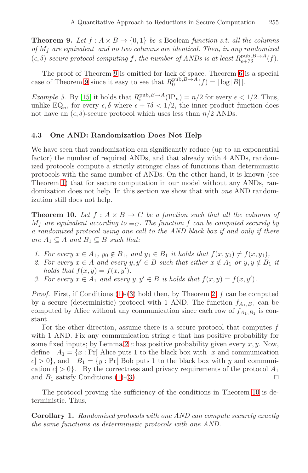<span id="page-17-0"></span>**Theorem 9.** Let  $f: A \times B \rightarrow \{0, 1\}$  be a Boolean function s.t. all the columns *of* M<sup>f</sup> *are equivalent and no two columns are identical. Then, in any randomized*  $(\epsilon, \delta)$ -secure protocol computing f, the number of ANDs is at least  $R_{\epsilon+7\delta}^{\text{pub}, B\to A}(f)$ .

The proof of Theorem [9](#page-16-0) is omitted for lack of space. Theorem [6](#page-15-0) is a special case of Theorem [9](#page-16-0) since it easy to see that  $R_0^{\text{pub}, B \to A}(f) = \lceil \log |B| \rceil$ .

*Example 5.* By [\[15\]](#page-18-0) it holds that  $R_{\epsilon}^{\text{pub},B\to A}(\text{IP}_n) = n/2$  for every  $\epsilon < 1/2$ . Thus, unlike EQ<sub>n</sub>, for every  $\epsilon$ ,  $\delta$  where  $\epsilon + 7\delta < 1/2$ , the inner-product function does not have an  $(\epsilon, \delta)$ -secure protocol which uses less than  $n/2$  ANDs.

#### **4.3 One AND: Randomization Does Not Help**

We have seen that randomization can significantly reduce (up to an exponential factor) the number of required ANDs, and that already with 4 ANDs, randomized protocols compute a strictly stronger class of functions than deterministic protocols with the same number of ANDs. On the other hand, it is known (see Theorem [1\)](#page-6-0) that for secure computation in our model without any ANDs, randomization does not help. In this section we show that with *one* AND randomization still does not help.

**Theorem 10.** Let  $f : A \times B \to C$  be a function such that all the columns of  $M_f$  are equivalent according to  $\equiv_C$ . The function f can be computed securely by *a randomized protocol using one call to the AND black box if and only if there are*  $A_1 \subseteq A$  *and*  $B_1 \subseteq B$  *such that:* 

- *1. For every*  $x \in A_1$ *,*  $y_0 \notin B_1$ *, and*  $y_1 \in B_1$  *it holds that*  $f(x, y_0) \neq f(x, y_1)$ *,*
- 2. For every  $x \in A$  and every  $y, y' \in B$  such that either  $x \notin A_1$  or  $y, y \notin B_1$  it *holds that*  $f(x, y) = f(x, y')$ .
- 3. For every  $x \in A_1$  and every  $y, y' \in B$  it holds that  $f(x, y) = f(x, y')$ .

*Proof.* First, if Conditions  $(1)-(3)$  hold then, by Theorem [2,](#page-7-0) f can be computed by a secure (deterministic) protocol with 1 AND. The function  $f_{A_1,B_1}$  can be computed by Alice without any communication since each row of  $f_{A_1,B_1}$  is constant.

For the other direction, assume there is a secure protocol that computes  $f$ with 1 AND. Fix any communication string  $c$  that has positive probability for some fixed inputs; by Lemma [2](#page-6-0) c has positive probability given every  $x, y$ . Now, define  $A_1 = \{x : \Pr | \text{ Alice puts 1 to the black box with } x \text{ and communication} \}$  $c| > 0$ , and  $B_1 = \{y : \Pr$  Bob puts 1 to the black box with y and communication  $c > 0$ . By the correctness and privacy requirements of the protocol  $A_1$ and  $B_1$  satisfy Conditions (1)-(3).

The protocol proving the sufficiency of the conditions in Theorem 10 is deterministic. Thus,

**Corollary 1.** *Randomized protocols with one AND can compute securely exactly the same functions as deterministic protocols with one AND.*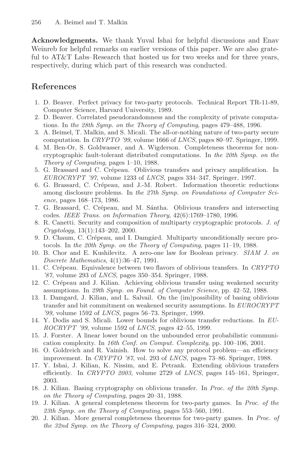<span id="page-18-0"></span>**Acknowledgments.** We thank Yuval Ishai for helpful discussions and Enav Weinreb for helpful remarks on earlier versions of this paper. We are also grateful to AT&T Labs–Research that hosted us for two weeks and for three years, respectively, during which part of this research was conducted.

# **References**

- 1. D. Beaver. Perfect privacy for two-party protocols. Technical Report TR-11-89, Computer Science, Harvard University, 1989.
- 2. D. Beaver. Correlated pseudorandomness and the complexity of private computations. In the 28th Symp. on the Theory of Computing, pages 479–488, 1996.
- 3. A. Beimel, T. Malkin, and S. Micali. The all-or-nothing nature of two-party secure computation. In CRYPTO '99, volume 1666 of LNCS, pages 80–97. Springer, 1999.
- 4. M. Ben-Or, S. Goldwasser, and A. Wigderson. Completeness theorems for noncryptographic fault-tolerant distributed computations. In the 20th Symp. on the Theory of Computing, pages 1–10, 1988.
- 5. G. Brassard and C. Crépeau. Oblivious transfers and privacy amplification. In EUROCRYPT '97, volume 1233 of LNCS, pages 334–347. Springer, 1997.
- 6. G. Brassard, C. Crépeau, and J.-M. Robert. Information theoretic reductions among disclosure problems. In the 27th Symp. on Foundations of Computer Science, pages 168–173, 1986.
- 7. G. Brassard, C. Crépeau, and M. Sántha. Oblivious transfers and intersecting codes. IEEE Trans. on Information Theory, 42(6):1769–1780, 1996.
- 8. R. Canetti. Security and composition of multiparty cryptographic protocols. J. of Cryptology, 13(1):143–202, 2000.
- 9. D. Chaum, C. Crépeau, and I. Damgård. Multiparty unconditionally secure protocols. In the 20th Symp. on the Theory of Computing, pages 11–19, 1988.
- 10. B. Chor and E. Kushilevitz. A zero-one law for Boolean privacy. SIAM J. on Discrete Mathematics, 4(1):36–47, 1991.
- 11. C. Crépeau. Equivalence between two flavors of oblivious transfers. In CRYPTO '87, volume 293 of LNCS, pages 350–354. Springer, 1988.
- 12. C. Crépeau and J. Kilian. Achieving oblivious transfer using weakened security assumptions. In 29th Symp. on Found. of Computer Science, pp. 42–52, 1988.
- 13. I. Damgard, J. Kilian, and L. Salvail. On the (im)possibility of basing oblivious transfer and bit commitment on weakened security assumptions. In EUROCRYPT '99, volume 1592 of LNCS, pages 56–73. Springer, 1999.
- 14. Y. Dodis and S. Micali. Lower bounds for oblivious transfer reductions. In EU-ROCRYPT '99, volume 1592 of LNCS, pages 42–55, 1999.
- 15. J. Forster. A linear lower bound on the unbounded error probabilistic communication complexity. In 16th Conf. on Comput. Complexity, pp. 100–106, 2001.
- 16. O. Goldreich and R. Vainish. How to solve any protocol problem—an efficiency improvement. In CRYPTO '87, vol. 293 of LNCS, pages 73–86. Springer, 1988.
- 17. Y. Ishai, J. Kilian, K. Nissim, and E. Petrank. Extending oblivious transfers efficiently. In CRYPTO 2003, volume 2729 of LNCS, pages 145–161, Springer, 2003.
- 18. J. Kilian. Basing cryptography on oblivious transfer. In Proc. of the 20th Symp. on the Theory of Computing, pages 20–31, 1988.
- 19. J. Kilian. A general completeness theorem for two-party games. In Proc. of the 23th Symp. on the Theory of Computing, pages 553–560, 1991.
- 20. J. Kilian. More general completeness theorems for two-party games. In Proc. of the 32nd Symp. on the Theory of Computing, pages 316–324, 2000.